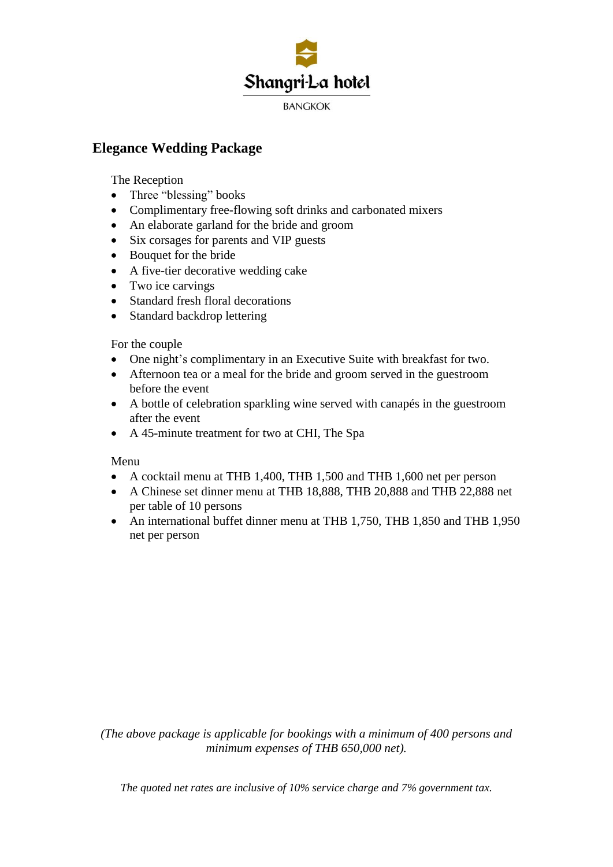

## **Elegance Wedding Package**

The Reception

- Three "blessing" books
- Complimentary free-flowing soft drinks and carbonated mixers
- An elaborate garland for the bride and groom
- Six corsages for parents and VIP guests
- Bouquet for the bride
- A five-tier decorative wedding cake
- Two ice carvings
- Standard fresh floral decorations
- Standard backdrop lettering

For the couple

- One night's complimentary in an Executive Suite with breakfast for two.
- Afternoon tea or a meal for the bride and groom served in the guestroom before the event
- A bottle of celebration sparkling wine served with canapés in the guestroom after the event
- A 45-minute treatment for two at CHI, The Spa

Menu

- A cocktail menu at THB 1,400, THB 1,500 and THB 1,600 net per person
- A Chinese set dinner menu at THB 18,888, THB 20,888 and THB 22,888 net per table of 10 persons
- An international buffet dinner menu at THB 1,750, THB 1,850 and THB 1,950 net per person

*(The above package is applicable for bookings with a minimum of 400 persons and minimum expenses of THB 650,000 net).*

*The quoted net rates are inclusive of 10% service charge and 7% government tax.*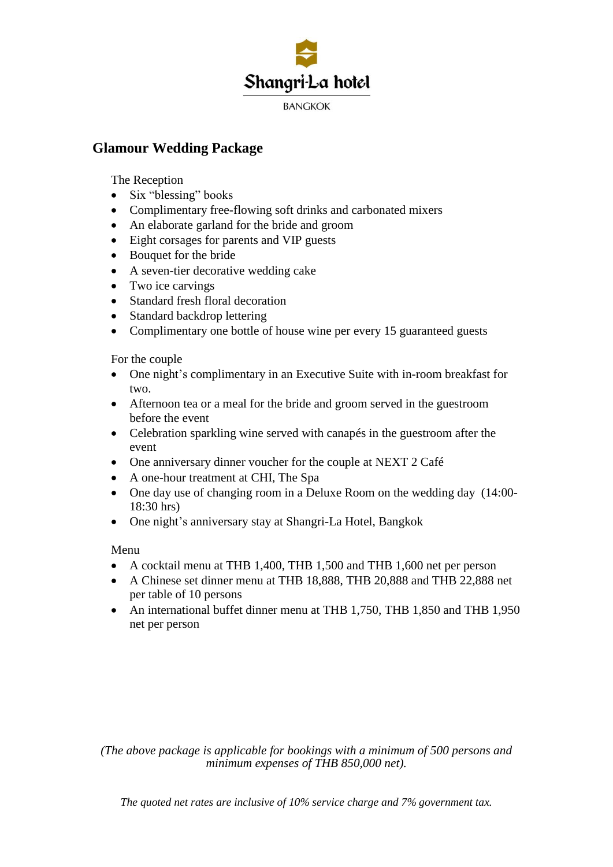

## **Glamour Wedding Package**

The Reception

- Six "blessing" books
- Complimentary free-flowing soft drinks and carbonated mixers
- An elaborate garland for the bride and groom
- Eight corsages for parents and VIP guests
- Bouquet for the bride
- A seven-tier decorative wedding cake
- Two ice carvings
- Standard fresh floral decoration
- Standard backdrop lettering
- Complimentary one bottle of house wine per every 15 guaranteed guests

For the couple

- One night's complimentary in an Executive Suite with in-room breakfast for two.
- Afternoon tea or a meal for the bride and groom served in the guestroom before the event
- Celebration sparkling wine served with canapés in the guestroom after the event
- One anniversary dinner voucher for the couple at NEXT 2 Café
- A one-hour treatment at CHI, The Spa
- One day use of changing room in a Deluxe Room on the wedding day (14:00- 18:30 hrs)
- One night's anniversary stay at Shangri-La Hotel, Bangkok

Menu

- A cocktail menu at THB 1,400, THB 1,500 and THB 1,600 net per person
- A Chinese set dinner menu at THB 18,888, THB 20,888 and THB 22,888 net per table of 10 persons
- An international buffet dinner menu at THB 1,750, THB 1,850 and THB 1,950 net per person

*(The above package is applicable for bookings with a minimum of 500 persons and minimum expenses of THB 850,000 net).*

*The quoted net rates are inclusive of 10% service charge and 7% government tax.*